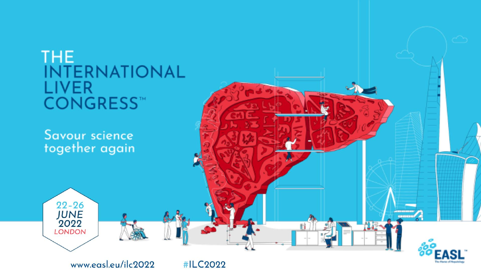

www.easl.eu/ilc2022

#ILC2022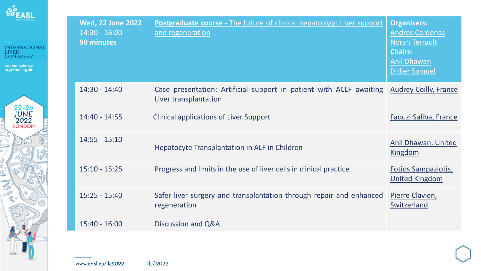



| <b>Wed, 22 June 2022</b><br>$14:30 - 16:00$<br><b>90 minutes</b> | <b>Postgraduate course - The future of clinical hepatology: Liver support</b><br>and regeneration | <b>Organisers:</b><br><b>Andres Cardenas</b><br>Norah Terrault<br><b>Chairs:</b><br><b>Anil Dhawan</b><br><b>Didier Samuel</b> |
|------------------------------------------------------------------|---------------------------------------------------------------------------------------------------|--------------------------------------------------------------------------------------------------------------------------------|
| $14:30 - 14:40$                                                  | Case presentation: Artificial support in patient with ACLF awaiting<br>Liver transplantation      | <b>Audrey Coilly, France</b>                                                                                                   |
| 14:40 - 14:55                                                    | <b>Clinical applications of Liver Support</b>                                                     | Faouzi Saliba, France                                                                                                          |
| $14:55 - 15:10$                                                  | Hepatocyte Transplantation in ALF in Children                                                     | Anil Dhawan, United<br>Kingdom                                                                                                 |
| $15:10 - 15:25$                                                  | Progress and limits in the use of liver cells in clinical practice                                | <b>Fotios Sampaziotis,</b><br><b>United Kingdom</b>                                                                            |
| $15:25 - 15:40$                                                  | Safer liver surgery and transplantation through repair and enhanced<br>regeneration               | Pierre Clavien,<br>Switzerland                                                                                                 |
| $15:40 - 16:00$                                                  | Discussion and Q&A                                                                                |                                                                                                                                |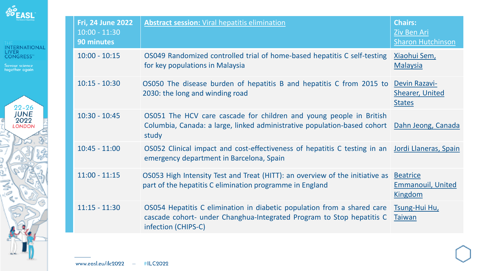



| Fri, 24 June 2022<br>$10:00 - 11:30$<br><b>90 minutes</b> | <b>Abstract session: Viral hepatitis elimination</b>                                                                                                                    | <b>Chairs:</b><br><b>Ziv Ben Ari</b><br><b>Sharon Hutchinson</b> |
|-----------------------------------------------------------|-------------------------------------------------------------------------------------------------------------------------------------------------------------------------|------------------------------------------------------------------|
| $10:00 - 10:15$                                           | OS049 Randomized controlled trial of home-based hepatitis C self-testing<br>for key populations in Malaysia                                                             | Xiaohui Sem,<br><b>Malaysia</b>                                  |
| $10:15 - 10:30$                                           | OS050 The disease burden of hepatitis B and hepatitis C from 2015 to<br>2030: the long and winding road                                                                 | Devin Razavi-<br><b>Shearer, United</b><br><b>States</b>         |
| $10:30 - 10:45$                                           | OS051 The HCV care cascade for children and young people in British<br>Columbia, Canada: a large, linked administrative population-based cohort<br>study                | Dahn Jeong, Canada                                               |
| $10:45 - 11:00$                                           | OS052 Clinical impact and cost-effectiveness of hepatitis C testing in an Jordi Llaneras, Spain<br>emergency department in Barcelona, Spain                             |                                                                  |
| $11:00 - 11:15$                                           | OS053 High Intensity Test and Treat (HITT): an overview of the initiative as<br>part of the hepatitis C elimination programme in England                                | <b>Beatrice</b><br><b>Emmanouil, United</b><br>Kingdom           |
| $11:15 - 11:30$                                           | OS054 Hepatitis C elimination in diabetic population from a shared care<br>cascade cohort- under Changhua-Integrated Program to Stop hepatitis C<br>infection (CHIPS-C) | <b>Tsung-Hui Hu</b><br><b>Taiwan</b>                             |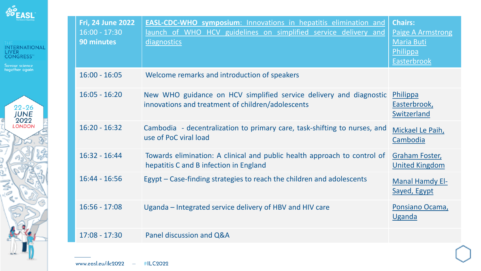



| <b>Fri, 24 June 2022</b><br>$16:00 - 17:30$<br>90 minutes | <b>EASL-CDC-WHO symposium:</b> Innovations in hepatitis elimination and<br>launch of WHO HCV guidelines on simplified service delivery and<br>diagnostics | <b>Chairs:</b><br><b>Paige A Armstrong</b><br><b>Maria Buti</b><br>Philippa<br><b>Easterbrook</b> |
|-----------------------------------------------------------|-----------------------------------------------------------------------------------------------------------------------------------------------------------|---------------------------------------------------------------------------------------------------|
| $16:00 - 16:05$                                           | Welcome remarks and introduction of speakers                                                                                                              |                                                                                                   |
| $16:05 - 16:20$                                           | New WHO guidance on HCV simplified service delivery and diagnostic<br>innovations and treatment of children/adolescents                                   | Philippa<br>Easterbrook,<br>Switzerland                                                           |
| $16:20 - 16:32$                                           | Cambodia - decentralization to primary care, task-shifting to nurses, and<br>use of PoC viral load                                                        | Mickael Le Paih,<br>Cambodia                                                                      |
| $16:32 - 16:44$                                           | Towards elimination: A clinical and public health approach to control of<br>hepatitis C and B infection in England                                        | <b>Graham Foster</b><br><b>United Kingdom</b>                                                     |
| $16:44 - 16:56$                                           | Egypt – Case-finding strategies to reach the children and adolescents                                                                                     | <b>Manal Hamdy El-</b><br>Sayed, Egypt                                                            |
| $16:56 - 17:08$                                           | Uganda – Integrated service delivery of HBV and HIV care                                                                                                  | Ponsiano Ocama,<br>Uganda                                                                         |
| $17:08 - 17:30$                                           | Panel discussion and Q&A                                                                                                                                  |                                                                                                   |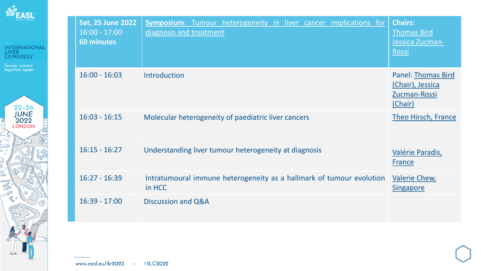



| <b>Sat, 25 June 2022</b><br>$16:00 - 17:00$<br><b>60 minutes</b> | <b>Symposium:</b> Tumour heterogeneity in liver cancer implications for<br>diagnosis and treatment | <b>Chairs:</b><br><b>Thomas Bird</b><br>Jessica Zucman-<br>Rossi         |
|------------------------------------------------------------------|----------------------------------------------------------------------------------------------------|--------------------------------------------------------------------------|
| $16:00 - 16:03$                                                  | Introduction                                                                                       | <b>Panel: Thomas Bird</b><br>(Chair), Jessica<br>Zucman-Rossi<br>(Chair) |
| $16:03 - 16:15$                                                  | Molecular heterogeneity of paediatric liver cancers                                                | Theo Hirsch, France                                                      |
| $16:15 - 16:27$                                                  | Understanding liver tumour heterogeneity at diagnosis                                              | Valérie Paradis,<br><b>France</b>                                        |
| $16:27 - 16:39$                                                  | Intratumoural immune heterogeneity as a hallmark of tumour evolution<br>in HCC                     | <b>Valerie Chew,</b><br><b>Singapore</b>                                 |
| $16:39 - 17:00$                                                  | Discussion and Q&A                                                                                 |                                                                          |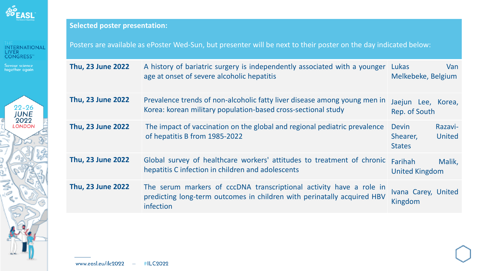

Savour science<br>together again



## **Selected poster presentation:**

Posters are available as ePoster Wed-Sun, but presenter will be next to their poster on the day indicated below:

| Thu, 23 June 2022        | A history of bariatric surgery is independently associated with a younger Lukas<br>age at onset of severe alcoholic hepatitis                               | Van<br>Melkebeke, Belgium                                      |
|--------------------------|-------------------------------------------------------------------------------------------------------------------------------------------------------------|----------------------------------------------------------------|
| Thu, 23 June 2022        | Prevalence trends of non-alcoholic fatty liver disease among young men in<br>Korea: korean military population-based cross-sectional study                  | Jaejun Lee, Korea,<br>Rep. of South                            |
| <b>Thu, 23 June 2022</b> | The impact of vaccination on the global and regional pediatric prevalence<br>of hepatitis B from 1985-2022                                                  | <b>Devin</b><br>Razavi-<br>United<br>Shearer,<br><b>States</b> |
| Thu, 23 June 2022        | Global survey of healthcare workers' attitudes to treatment of chronic<br>hepatitis C infection in children and adolescents                                 | Malik,<br><b>Farihah</b><br><b>United Kingdom</b>              |
| Thu, 23 June 2022        | The serum markers of cccDNA transcriptional activity have a role in<br>predicting long-term outcomes in children with perinatally acquired HBV<br>infection | Ivana Carey, United<br>Kingdom                                 |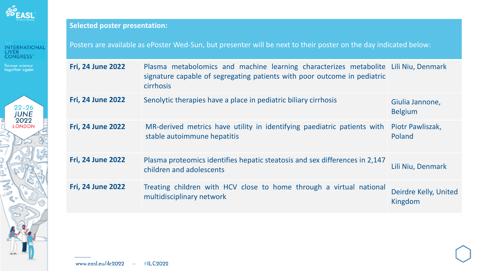

Savour science<br>together again



## **Selected poster presentation:**

Posters are available as ePoster Wed-Sun, but presenter will be next to their poster on the day indicated below:

| <b>Fri, 24 June 2022</b> | Plasma metabolomics and machine learning characterizes metabolite Lili Niu, Denmark<br>signature capable of segregating patients with poor outcome in pediatric<br><b>cirrhosis</b> |                                   |
|--------------------------|-------------------------------------------------------------------------------------------------------------------------------------------------------------------------------------|-----------------------------------|
| <b>Fri, 24 June 2022</b> | Senolytic therapies have a place in pediatric biliary cirrhosis                                                                                                                     | Giulia Jannone,<br><b>Belgium</b> |
| <b>Fri, 24 June 2022</b> | MR-derived metrics have utility in identifying paediatric patients with<br>stable autoimmune hepatitis                                                                              | Piotr Pawliszak,<br>Poland        |
| <b>Fri, 24 June 2022</b> | Plasma proteomics identifies hepatic steatosis and sex differences in 2,147<br>children and adolescents                                                                             | Lili Niu, Denmark                 |
| <b>Fri, 24 June 2022</b> | Treating children with HCV close to home through a virtual national<br>multidisciplinary network                                                                                    | Deirdre Kelly, United<br>Kingdom  |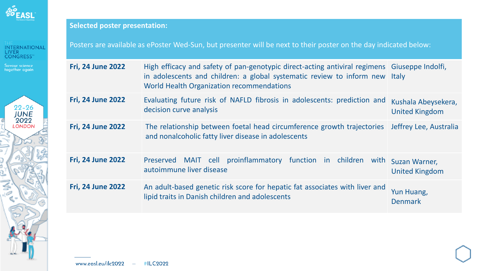

Savour science<br>together again



## **Selected poster presentation:**

Posters are available as ePoster Wed-Sun, but presenter will be next to their poster on the day indicated below:

| <b>Fri, 24 June 2022</b> | High efficacy and safety of pan-genotypic direct-acting antiviral regimens Giuseppe Indolfi,<br>in adolescents and children: a global systematic review to inform new Italy<br>World Health Organization recommendations |                                              |
|--------------------------|--------------------------------------------------------------------------------------------------------------------------------------------------------------------------------------------------------------------------|----------------------------------------------|
| <b>Fri, 24 June 2022</b> | Evaluating future risk of NAFLD fibrosis in adolescents: prediction and<br>decision curve analysis                                                                                                                       | Kushala Abeysekera,<br><b>United Kingdom</b> |
| <b>Fri, 24 June 2022</b> | The relationship between foetal head circumference growth trajectories   Jeffrey Lee, Australia<br>and nonalcoholic fatty liver disease in adolescents                                                                   |                                              |
| <b>Fri, 24 June 2022</b> | Preserved MAIT cell proinflammatory function in children with<br>autoimmune liver disease                                                                                                                                | Suzan Warner,<br><b>United Kingdom</b>       |
| <b>Fri, 24 June 2022</b> | An adult-based genetic risk score for hepatic fat associates with liver and<br>lipid traits in Danish children and adolescents                                                                                           | Yun Huang,<br><b>Denmark</b>                 |